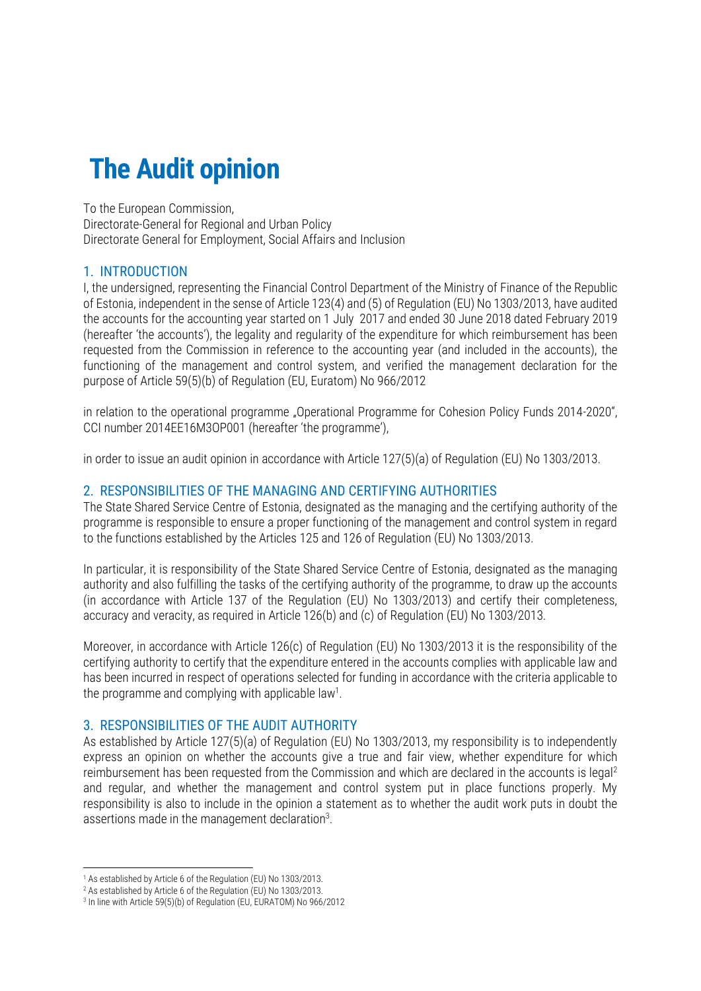# **The Audit opinion**

To the European Commission, Directorate-General for Regional and Urban Policy Directorate General for Employment, Social Affairs and Inclusion

## 1. INTRODUCTION

I, the undersigned, representing the Financial Control Department of the Ministry of Finance of the Republic of Estonia, independent in the sense of Article 123(4) and (5) of Regulation (EU) No 1303/2013, have audited the accounts for the accounting year started on 1 July 2017 and ended 30 June 2018 dated February 2019 (hereafter 'the accounts'), the legality and regularity of the expenditure for which reimbursement has been requested from the Commission in reference to the accounting year (and included in the accounts), the functioning of the management and control system, and verified the management declaration for the purpose of Article 59(5)(b) of Regulation (EU, Euratom) No 966/2012

in relation to the operational programme "Operational Programme for Cohesion Policy Funds 2014-2020", CCI number 2014EE16M3OP001 (hereafter 'the programme'),

in order to issue an audit opinion in accordance with Article 127(5)(a) of Regulation (EU) No 1303/2013.

#### 2. RESPONSIBILITIES OF THE MANAGING AND CERTIFYING AUTHORITIES

The State Shared Service Centre of Estonia, designated as the managing and the certifying authority of the programme is responsible to ensure a proper functioning of the management and control system in regard to the functions established by the Articles 125 and 126 of Regulation (EU) No 1303/2013.

In particular, it is responsibility of the State Shared Service Centre of Estonia, designated as the managing authority and also fulfilling the tasks of the certifying authority of the programme, to draw up the accounts (in accordance with Article 137 of the Regulation (EU) No 1303/2013) and certify their completeness, accuracy and veracity, as required in Article 126(b) and (c) of Regulation (EU) No 1303/2013.

Moreover, in accordance with Article 126(c) of Regulation (EU) No 1303/2013 it is the responsibility of the certifying authority to certify that the expenditure entered in the accounts complies with applicable law and has been incurred in respect of operations selected for funding in accordance with the criteria applicable to the programme and complying with applicable law<sup>1</sup>.

#### 3. RESPONSIBILITIES OF THE AUDIT AUTHORITY

As established by Article 127(5)(a) of Regulation (EU) No 1303/2013, my responsibility is to independently express an opinion on whether the accounts give a true and fair view, whether expenditure for which reimbursement has been requested from the Commission and which are declared in the accounts is legal<sup>2</sup> and regular, and whether the management and control system put in place functions properly. My responsibility is also to include in the opinion a statement as to whether the audit work puts in doubt the assertions made in the management declaration $3$ .

1

<sup>1</sup> As established by Article 6 of the Regulation (EU) No 1303/2013.

<sup>2</sup> As established by Article 6 of the Regulation (EU) No 1303/2013.

<sup>3</sup> In line with Article 59(5)(b) of Regulation (EU, EURATOM) No 966/2012